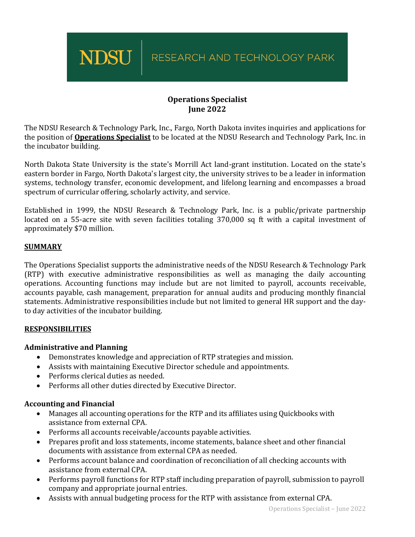# **NDSU** RESEARCH AND TECHNOLOGY PARK

## **Operations Specialist June 2022**

The NDSU Research & Technology Park, Inc., Fargo, North Dakota invites inquiries and applications for the position of **Operations Specialist** to be located at the NDSU Research and Technology Park, Inc. in the incubator building.

North Dakota State University is the state's Morrill Act land-grant institution. Located on the state's eastern border in Fargo, North Dakota's largest city, the university strives to be a leader in information systems, technology transfer, economic development, and lifelong learning and encompasses a broad spectrum of curricular offering, scholarly activity, and service.

Established in 1999, the NDSU Research & Technology Park, Inc. is a public/private partnership located on a 55-acre site with seven facilities totaling 370,000 sq ft with a capital investment of approximately \$70 million.

## **SUMMARY**

The Operations Specialist supports the administrative needs of the NDSU Research & Technology Park (RTP) with executive administrative responsibilities as well as managing the daily accounting operations. Accounting functions may include but are not limited to payroll, accounts receivable, accounts payable, cash management, preparation for annual audits and producing monthly financial statements. Administrative responsibilities include but not limited to general HR support and the dayto day activities of the incubator building.

#### **RESPONSIBILITIES**

#### **Administrative and Planning**

- Demonstrates knowledge and appreciation of RTP strategies and mission.
- Assists with maintaining Executive Director schedule and appointments.
- Performs clerical duties as needed.
- Performs all other duties directed by Executive Director.

## **Accounting and Financial**

- Manages all accounting operations for the RTP and its affiliates using Quickbooks with assistance from external CPA.
- Performs all accounts receivable/accounts payable activities.
- Prepares profit and loss statements, income statements, balance sheet and other financial documents with assistance from external CPA as needed.
- Performs account balance and coordination of reconciliation of all checking accounts with assistance from external CPA.
- Performs payroll functions for RTP staff including preparation of payroll, submission to payroll company and appropriate journal entries.
- Assists with annual budgeting process for the RTP with assistance from external CPA.